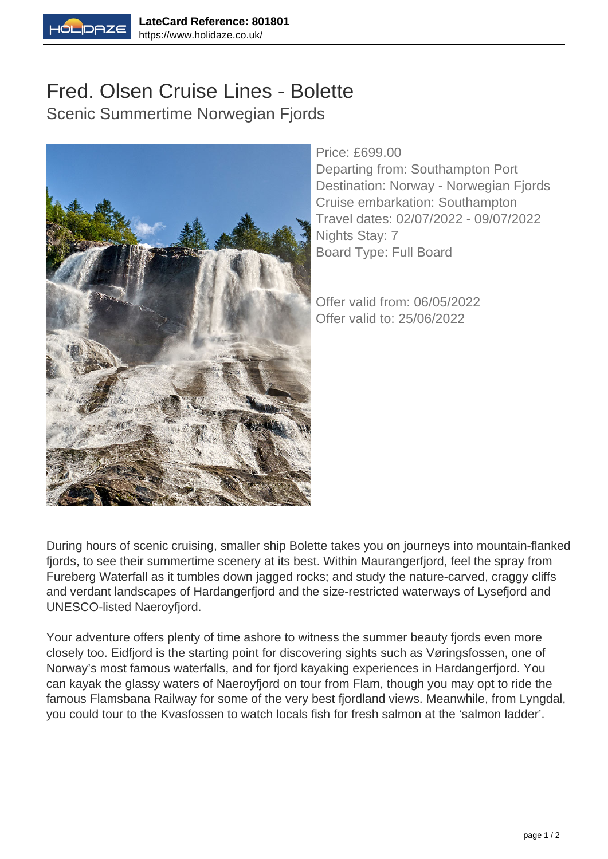

## Fred. Olsen Cruise Lines - Bolette Scenic Summertime Norwegian Fjords



Price: £699.00

Departing from: Southampton Port Destination: Norway - Norwegian Fjords Cruise embarkation: Southampton Travel dates: 02/07/2022 - 09/07/2022 Nights Stay: 7 Board Type: Full Board

Offer valid from: 06/05/2022 Offer valid to: 25/06/2022

During hours of scenic cruising, smaller ship Bolette takes you on journeys into mountain-flanked fjords, to see their summertime scenery at its best. Within Maurangerfjord, feel the spray from Fureberg Waterfall as it tumbles down jagged rocks; and study the nature-carved, craggy cliffs and verdant landscapes of Hardangerfjord and the size-restricted waterways of Lysefjord and UNESCO-listed Naeroyfjord.

Your adventure offers plenty of time ashore to witness the summer beauty fjords even more closely too. Eidfjord is the starting point for discovering sights such as Vøringsfossen, one of Norway's most famous waterfalls, and for fjord kayaking experiences in Hardangerfjord. You can kayak the glassy waters of Naeroyfjord on tour from Flam, though you may opt to ride the famous Flamsbana Railway for some of the very best fjordland views. Meanwhile, from Lyngdal, you could tour to the Kvasfossen to watch locals fish for fresh salmon at the 'salmon ladder'.